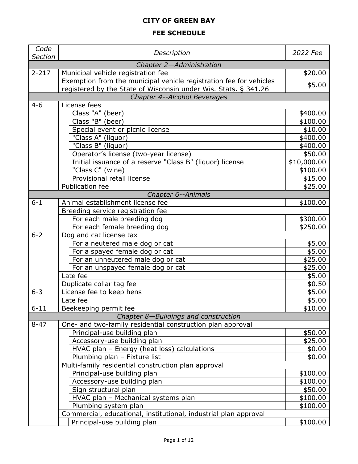## **CITY OF GREEN BAY**

# **FEE SCHEDULE**

| Code<br><b>Section</b> | Description                                                         | 2022 Fee         |
|------------------------|---------------------------------------------------------------------|------------------|
|                        | Chapter 2-Administration                                            |                  |
| $2 - 217$              | Municipal vehicle registration fee                                  | \$20.00          |
|                        | Exemption from the municipal vehicle registration fee for vehicles  |                  |
|                        | registered by the State of Wisconsin under Wis. Stats. § 341.26     | \$5.00           |
|                        | Chapter 4--Alcohol Beverages                                        |                  |
| $4 - 6$                | License fees                                                        |                  |
|                        | Class "A" (beer)                                                    | \$400.00         |
|                        | Class "B" (beer)                                                    | \$100.00         |
|                        | Special event or picnic license                                     | \$10.00          |
|                        | "Class A" (liquor)                                                  | \$400.00         |
|                        | "Class B" (liquor)                                                  | \$400.00         |
|                        | Operator's license (two-year license)                               | \$50.00          |
|                        | Initial issuance of a reserve "Class B" (liquor) license            | \$10,000.00      |
|                        | "Class C" (wine)                                                    | \$100.00         |
|                        | Provisional retail license                                          | \$15.00          |
|                        | Publication fee                                                     | \$25.00          |
|                        | Chapter 6--Animals                                                  |                  |
| $6 - 1$                | Animal establishment license fee                                    | \$100.00         |
|                        | Breeding service registration fee                                   |                  |
|                        | For each male breeding dog                                          | \$300.00         |
| $6 - 2$                | For each female breeding dog                                        | \$250.00         |
|                        | Dog and cat license tax                                             |                  |
|                        | For a neutered male dog or cat                                      | \$5.00<br>\$5.00 |
|                        | For a spayed female dog or cat<br>For an unneutered male dog or cat | \$25.00          |
|                        | For an unspayed female dog or cat                                   | \$25.00          |
|                        | Late fee                                                            | \$5.00           |
|                        | Duplicate collar tag fee                                            | \$0.50           |
| $6 - 3$                | License fee to keep hens                                            | \$5.00           |
|                        | Late fee                                                            | \$5.00           |
| $6 - 11$               | Beekeeping permit fee                                               | \$10.00          |
|                        | Chapter 8-Buildings and construction                                |                  |
| $8 - 47$               | One- and two-family residential construction plan approval          |                  |
|                        | Principal-use building plan                                         | \$50.00          |
|                        | Accessory-use building plan                                         | \$25.00          |
|                        | HVAC plan - Energy (heat loss) calculations                         | \$0.00           |
|                        | Plumbing plan - Fixture list                                        | \$0.00           |
|                        | Multi-family residential construction plan approval                 |                  |
|                        | Principal-use building plan                                         | \$100.00         |
|                        | Accessory-use building plan                                         | \$100.00         |
|                        | Sign structural plan                                                | \$50.00          |
|                        | HVAC plan - Mechanical systems plan                                 | \$100.00         |
|                        | Plumbing system plan                                                | \$100.00         |
|                        | Commercial, educational, institutional, industrial plan approval    |                  |
|                        | Principal-use building plan                                         | \$100.00         |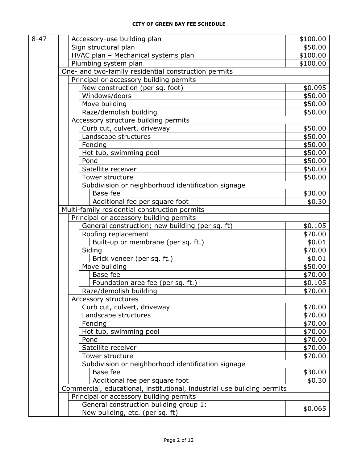| $8 - 47$ |                                               | Accessory-use building plan                                             | \$100.00 |  |
|----------|-----------------------------------------------|-------------------------------------------------------------------------|----------|--|
|          | Sign structural plan                          |                                                                         | \$50.00  |  |
|          |                                               | HVAC plan - Mechanical systems plan                                     | \$100.00 |  |
|          | Plumbing system plan                          |                                                                         | \$100.00 |  |
|          |                                               | One- and two-family residential construction permits                    |          |  |
|          |                                               | Principal or accessory building permits                                 |          |  |
|          |                                               | New construction (per sq. foot)                                         | \$0.095  |  |
|          | Windows/doors                                 |                                                                         | \$50.00  |  |
|          | Move building                                 |                                                                         | \$50.00  |  |
|          |                                               | Raze/demolish building                                                  | \$50.00  |  |
|          | Accessory structure building permits          |                                                                         |          |  |
|          |                                               | Curb cut, culvert, driveway                                             | \$50.00  |  |
|          |                                               | Landscape structures                                                    | \$50.00  |  |
|          | Fencing                                       |                                                                         | \$50.00  |  |
|          |                                               | Hot tub, swimming pool                                                  | \$50.00  |  |
|          | Pond                                          |                                                                         | \$50.00  |  |
|          | Satellite receiver                            |                                                                         | \$50.00  |  |
|          | Tower structure                               |                                                                         | \$50.00  |  |
|          |                                               | Subdivision or neighborhood identification signage                      |          |  |
|          | Base fee                                      |                                                                         | \$30.00  |  |
|          |                                               | Additional fee per square foot                                          | \$0.30   |  |
|          | Multi-family residential construction permits |                                                                         |          |  |
|          |                                               | Principal or accessory building permits                                 |          |  |
|          |                                               | General construction; new building (per sq. ft)                         | \$0.105  |  |
|          |                                               | Roofing replacement                                                     | \$70.00  |  |
|          |                                               | Built-up or membrane (per sq. ft.)                                      | \$0.01   |  |
|          | Siding                                        |                                                                         | \$70.00  |  |
|          |                                               | Brick veneer (per sq. ft.)                                              | \$0.01   |  |
|          | Move building                                 |                                                                         | \$50.00  |  |
|          | Base fee                                      |                                                                         | \$70.00  |  |
|          |                                               | Foundation area fee (per sq. ft.)                                       | \$0.105  |  |
|          |                                               | Raze/demolish building                                                  | \$70.00  |  |
|          | Accessory structures                          |                                                                         |          |  |
|          |                                               | Curb cut, culvert, driveway                                             | \$70.00  |  |
|          |                                               | Landscape structures                                                    | \$70.00  |  |
|          | Fencing                                       |                                                                         | \$70.00  |  |
|          |                                               | Hot tub, swimming pool                                                  | \$70.00  |  |
|          | Pond                                          |                                                                         | \$70.00  |  |
|          | Satellite receiver                            |                                                                         | \$70.00  |  |
|          | Tower structure                               |                                                                         | \$70.00  |  |
|          |                                               | Subdivision or neighborhood identification signage                      |          |  |
|          | Base fee                                      |                                                                         | \$30.00  |  |
|          |                                               | Additional fee per square foot                                          | \$0.30   |  |
|          |                                               | Commercial, educational, institutional, industrial use building permits |          |  |
|          |                                               | Principal or accessory building permits                                 |          |  |
|          |                                               | General construction building group 1:                                  |          |  |
|          |                                               | New building, etc. (per sq. ft)                                         | \$0.065  |  |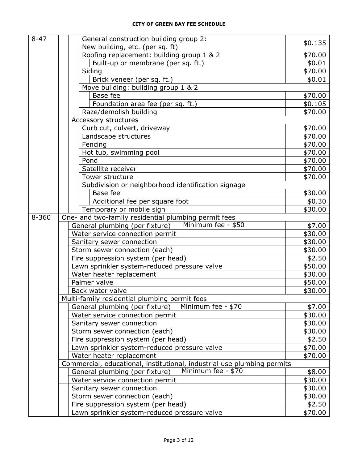| $8 - 47$  | General construction building group 2:                                  |         |
|-----------|-------------------------------------------------------------------------|---------|
|           | New building, etc. (per sq. ft)                                         | \$0.135 |
|           | Roofing replacement: building group 1 & 2                               | \$70.00 |
|           | Built-up or membrane (per sq. ft.)                                      | \$0.01  |
|           | Siding                                                                  | \$70.00 |
|           | Brick veneer (per sq. ft.)                                              | \$0.01  |
|           | Move building: building group 1 & 2                                     |         |
|           | Base fee                                                                | \$70.00 |
|           | Foundation area fee (per sq. ft.)                                       | \$0.105 |
|           | Raze/demolish building                                                  | \$70.00 |
|           | Accessory structures                                                    |         |
|           | Curb cut, culvert, driveway                                             | \$70.00 |
|           | Landscape structures                                                    | \$70.00 |
|           | Fencing                                                                 | \$70.00 |
|           | Hot tub, swimming pool                                                  | \$70.00 |
|           | Pond                                                                    | \$70.00 |
|           | Satellite receiver                                                      | \$70.00 |
|           | Tower structure                                                         | \$70.00 |
|           | Subdivision or neighborhood identification signage                      |         |
|           | Base fee                                                                | \$30.00 |
|           | Additional fee per square foot                                          | \$0.30  |
|           | Temporary or mobile sign                                                | \$30.00 |
| $8 - 360$ | One- and two-family residential plumbing permit fees                    |         |
|           | Minimum fee - \$50<br>General plumbing (per fixture)                    | \$7.00  |
|           | Water service connection permit                                         | \$30.00 |
|           | Sanitary sewer connection                                               | \$30.00 |
|           | Storm sewer connection (each)                                           | \$30.00 |
|           | Fire suppression system (per head)                                      | \$2.50  |
|           | Lawn sprinkler system-reduced pressure valve                            | \$50.00 |
|           | Water heater replacement                                                | \$30.00 |
|           | Palmer valve                                                            | \$50.00 |
|           | Back water valve                                                        | \$30.00 |
|           | Multi-family residential plumbing permit fees                           |         |
|           | Minimum fee - \$70<br>General plumbing (per fixture)                    | \$7.00  |
|           | Water service connection permit                                         | \$30.00 |
|           | Sanitary sewer connection                                               | \$30.00 |
|           | Storm sewer connection (each)                                           | \$30.00 |
|           | Fire suppression system (per head)                                      | \$2.50  |
|           | Lawn sprinkler system-reduced pressure valve                            | \$70.00 |
|           | Water heater replacement                                                | \$70.00 |
|           | Commercial, educational, institutional, industrial use plumbing permits |         |
|           | Minimum fee - \$70<br>General plumbing (per fixture)                    | \$8.00  |
|           | Water service connection permit                                         | \$30.00 |
|           | Sanitary sewer connection                                               | \$30.00 |
|           | Storm sewer connection (each)                                           | \$30.00 |
|           | Fire suppression system (per head)                                      | \$2.50  |
|           | Lawn sprinkler system-reduced pressure valve                            | \$70.00 |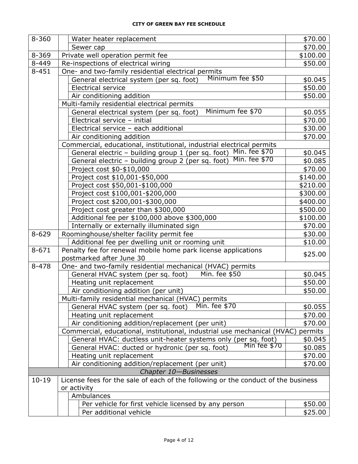| $8 - 360$ | Water heater replacement                                                                                                       | \$70.00  |  |
|-----------|--------------------------------------------------------------------------------------------------------------------------------|----------|--|
|           | Sewer cap                                                                                                                      | \$70.00  |  |
| $8 - 369$ | Private well operation permit fee                                                                                              | \$100.00 |  |
| $8 - 449$ | Re-inspections of electrical wiring                                                                                            | \$50.00  |  |
| $8 - 451$ | One- and two-family residential electrical permits                                                                             |          |  |
|           | Minimum fee \$50<br>General electrical system (per sq. foot)                                                                   | \$0.045  |  |
|           | <b>Electrical service</b>                                                                                                      | \$50.00  |  |
|           | Air conditioning addition                                                                                                      | \$50.00  |  |
|           | Multi-family residential electrical permits                                                                                    |          |  |
|           | Minimum fee \$70<br>General electrical system (per sq. foot)                                                                   | \$0.055  |  |
|           | Electrical service - initial                                                                                                   | \$70.00  |  |
|           | Electrical service - each additional                                                                                           | \$30.00  |  |
|           | Air conditioning addition                                                                                                      | \$70.00  |  |
|           | Commercial, educational, institutional, industrial electrical permits                                                          |          |  |
|           | Min. fee \$70<br>General electric - building group 1 (per sq. foot)                                                            | \$0.045  |  |
|           | Min. fee \$70<br>General electric - building group 2 (per sq. foot)                                                            | \$0.085  |  |
|           | Project cost \$0-\$10,000                                                                                                      | \$70.00  |  |
|           | Project cost \$10,001-\$50,000                                                                                                 | \$140.00 |  |
|           | Project cost \$50,001-\$100,000                                                                                                | \$210.00 |  |
|           | Project cost \$100,001-\$200,000                                                                                               | \$300.00 |  |
|           | Project cost \$200,001-\$300,000                                                                                               | \$400.00 |  |
|           | Project cost greater than \$300,000                                                                                            | \$500.00 |  |
|           | Additional fee per \$100,000 above \$300,000                                                                                   | \$100.00 |  |
|           | Internally or externally illuminated sign                                                                                      | \$70.00  |  |
| $8 - 629$ | Roominghouse/shelter facility permit fee                                                                                       | \$30.00  |  |
|           | Additional fee per dwelling unit or rooming unit                                                                               | \$10.00  |  |
| $8 - 671$ | Penalty fee for renewal mobile home park license applications                                                                  | \$25.00  |  |
|           | postmarked after June 30                                                                                                       |          |  |
| $8 - 478$ | One- and two-family residential mechanical (HVAC) permits                                                                      |          |  |
|           | Min. fee \$50<br>General HVAC system (per sq. foot)                                                                            | \$0.045  |  |
|           | Heating unit replacement                                                                                                       | \$50.00  |  |
|           | Air conditioning addition (per unit)                                                                                           | \$50.00  |  |
|           | Multi-family residential mechanical (HVAC) permits                                                                             |          |  |
|           | Min. fee \$70<br>General HVAC system (per sq. foot)                                                                            | \$0.055  |  |
|           | Heating unit replacement                                                                                                       | \$70.00  |  |
|           | Air conditioning addition/replacement (per unit)                                                                               | \$70.00  |  |
|           | Commercial, educational, institutional, industrial use mechanical (HVAC)                                                       | permits  |  |
|           | General HVAC: ductless unit-heater systems only (per sq. foot)<br>General HVAC: ducted or hydronic (per sq. foot) Min fee \$70 | \$0.045  |  |
|           | General HVAC: ducted or hydronic (per sq. foot)                                                                                | \$0.085  |  |
|           | Heating unit replacement                                                                                                       | \$70.00  |  |
|           | Air conditioning addition/replacement (per unit)                                                                               | \$70.00  |  |
|           | Chapter 10-Businesses                                                                                                          |          |  |
| $10 - 19$ | License fees for the sale of each of the following or the conduct of the business                                              |          |  |
|           | or activity                                                                                                                    |          |  |
|           | Ambulances                                                                                                                     |          |  |
|           | Per vehicle for first vehicle licensed by any person                                                                           | \$50.00  |  |
|           | Per additional vehicle                                                                                                         | \$25.00  |  |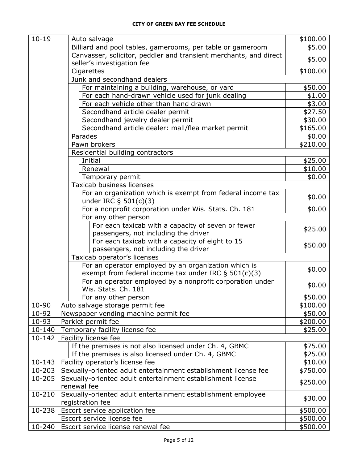| \$5.00<br>Billiard and pool tables, gamerooms, per table or gameroom<br>Canvasser, solicitor, peddler and transient merchants, and direct<br>\$5.00<br>seller's investigation fee<br>Cigarettes<br>\$100.00<br>Junk and secondhand dealers<br>For maintaining a building, warehouse, or yard<br>\$50.00<br>For each hand-drawn vehicle used for junk dealing<br>\$1.00<br>For each vehicle other than hand drawn<br>\$3.00<br>Secondhand article dealer permit<br>\$27.50<br>Secondhand jewelry dealer permit<br>\$30.00<br>Secondhand article dealer: mall/flea market permit<br>\$165.00<br>Parades<br>\$0.00<br>Pawn brokers<br>\$210.00<br>Residential building contractors<br>Initial<br>\$25.00<br>Renewal<br>\$10.00<br>\$0.00<br>Temporary permit<br>Taxicab business licenses<br>For an organization which is exempt from federal income tax<br>\$0.00<br>under IRC $\S$ 501(c)(3)<br>For a nonprofit corporation under Wis. Stats. Ch. 181<br>\$0.00<br>For any other person<br>For each taxicab with a capacity of seven or fewer<br>\$25.00<br>passengers, not including the driver<br>For each taxicab with a capacity of eight to 15<br>\$50.00<br>passengers, not including the driver<br>Taxicab operator's licenses<br>For an operator employed by an organization which is<br>\$0.00<br>exempt from federal income tax under IRC $\S$ 501(c)(3)<br>For an operator employed by a nonprofit corporation under<br>\$0.00<br>Wis. Stats. Ch. 181<br>\$50.00<br>For any other person<br>$10 - 90$<br>\$100.00<br>Auto salvage storage permit fee<br>10-92<br>Newspaper vending machine permit fee<br>\$50.00<br>10-93<br>Parklet permit fee<br>\$200.00<br>$10 - 140$<br>Temporary facility license fee<br>\$25.00<br>$10 - 142$<br>Facility license fee<br>If the premises is not also licensed under Ch. 4, GBMC<br>\$75.00<br>If the premises is also licensed under Ch. 4, GBMC<br>\$25.00<br>$10 - 143$<br>Facility operator's license fee<br>\$10.00<br>10-203<br>Sexually-oriented adult entertainment establishment license fee<br>\$750.00<br>10-205<br>Sexually-oriented adult entertainment establishment license<br>\$250.00<br>renewal fee<br>Sexually-oriented adult entertainment establishment employee<br>10-210<br>\$30.00<br>registration fee<br>10-238<br>Escort service application fee<br>\$500.00<br>Escort service license fee<br>\$500.00 | $10 - 19$  | Auto salvage | \$100.00 |
|----------------------------------------------------------------------------------------------------------------------------------------------------------------------------------------------------------------------------------------------------------------------------------------------------------------------------------------------------------------------------------------------------------------------------------------------------------------------------------------------------------------------------------------------------------------------------------------------------------------------------------------------------------------------------------------------------------------------------------------------------------------------------------------------------------------------------------------------------------------------------------------------------------------------------------------------------------------------------------------------------------------------------------------------------------------------------------------------------------------------------------------------------------------------------------------------------------------------------------------------------------------------------------------------------------------------------------------------------------------------------------------------------------------------------------------------------------------------------------------------------------------------------------------------------------------------------------------------------------------------------------------------------------------------------------------------------------------------------------------------------------------------------------------------------------------------------------------------------------------------------------------------------------------------------------------------------------------------------------------------------------------------------------------------------------------------------------------------------------------------------------------------------------------------------------------------------------------------------------------------------------------------------------------------------------------------------------------------------------------------------------|------------|--------------|----------|
|                                                                                                                                                                                                                                                                                                                                                                                                                                                                                                                                                                                                                                                                                                                                                                                                                                                                                                                                                                                                                                                                                                                                                                                                                                                                                                                                                                                                                                                                                                                                                                                                                                                                                                                                                                                                                                                                                                                                                                                                                                                                                                                                                                                                                                                                                                                                                                                  |            |              |          |
|                                                                                                                                                                                                                                                                                                                                                                                                                                                                                                                                                                                                                                                                                                                                                                                                                                                                                                                                                                                                                                                                                                                                                                                                                                                                                                                                                                                                                                                                                                                                                                                                                                                                                                                                                                                                                                                                                                                                                                                                                                                                                                                                                                                                                                                                                                                                                                                  |            |              |          |
|                                                                                                                                                                                                                                                                                                                                                                                                                                                                                                                                                                                                                                                                                                                                                                                                                                                                                                                                                                                                                                                                                                                                                                                                                                                                                                                                                                                                                                                                                                                                                                                                                                                                                                                                                                                                                                                                                                                                                                                                                                                                                                                                                                                                                                                                                                                                                                                  |            |              |          |
|                                                                                                                                                                                                                                                                                                                                                                                                                                                                                                                                                                                                                                                                                                                                                                                                                                                                                                                                                                                                                                                                                                                                                                                                                                                                                                                                                                                                                                                                                                                                                                                                                                                                                                                                                                                                                                                                                                                                                                                                                                                                                                                                                                                                                                                                                                                                                                                  |            |              |          |
|                                                                                                                                                                                                                                                                                                                                                                                                                                                                                                                                                                                                                                                                                                                                                                                                                                                                                                                                                                                                                                                                                                                                                                                                                                                                                                                                                                                                                                                                                                                                                                                                                                                                                                                                                                                                                                                                                                                                                                                                                                                                                                                                                                                                                                                                                                                                                                                  |            |              |          |
|                                                                                                                                                                                                                                                                                                                                                                                                                                                                                                                                                                                                                                                                                                                                                                                                                                                                                                                                                                                                                                                                                                                                                                                                                                                                                                                                                                                                                                                                                                                                                                                                                                                                                                                                                                                                                                                                                                                                                                                                                                                                                                                                                                                                                                                                                                                                                                                  |            |              |          |
|                                                                                                                                                                                                                                                                                                                                                                                                                                                                                                                                                                                                                                                                                                                                                                                                                                                                                                                                                                                                                                                                                                                                                                                                                                                                                                                                                                                                                                                                                                                                                                                                                                                                                                                                                                                                                                                                                                                                                                                                                                                                                                                                                                                                                                                                                                                                                                                  |            |              |          |
|                                                                                                                                                                                                                                                                                                                                                                                                                                                                                                                                                                                                                                                                                                                                                                                                                                                                                                                                                                                                                                                                                                                                                                                                                                                                                                                                                                                                                                                                                                                                                                                                                                                                                                                                                                                                                                                                                                                                                                                                                                                                                                                                                                                                                                                                                                                                                                                  |            |              |          |
|                                                                                                                                                                                                                                                                                                                                                                                                                                                                                                                                                                                                                                                                                                                                                                                                                                                                                                                                                                                                                                                                                                                                                                                                                                                                                                                                                                                                                                                                                                                                                                                                                                                                                                                                                                                                                                                                                                                                                                                                                                                                                                                                                                                                                                                                                                                                                                                  |            |              |          |
|                                                                                                                                                                                                                                                                                                                                                                                                                                                                                                                                                                                                                                                                                                                                                                                                                                                                                                                                                                                                                                                                                                                                                                                                                                                                                                                                                                                                                                                                                                                                                                                                                                                                                                                                                                                                                                                                                                                                                                                                                                                                                                                                                                                                                                                                                                                                                                                  |            |              |          |
|                                                                                                                                                                                                                                                                                                                                                                                                                                                                                                                                                                                                                                                                                                                                                                                                                                                                                                                                                                                                                                                                                                                                                                                                                                                                                                                                                                                                                                                                                                                                                                                                                                                                                                                                                                                                                                                                                                                                                                                                                                                                                                                                                                                                                                                                                                                                                                                  |            |              |          |
|                                                                                                                                                                                                                                                                                                                                                                                                                                                                                                                                                                                                                                                                                                                                                                                                                                                                                                                                                                                                                                                                                                                                                                                                                                                                                                                                                                                                                                                                                                                                                                                                                                                                                                                                                                                                                                                                                                                                                                                                                                                                                                                                                                                                                                                                                                                                                                                  |            |              |          |
|                                                                                                                                                                                                                                                                                                                                                                                                                                                                                                                                                                                                                                                                                                                                                                                                                                                                                                                                                                                                                                                                                                                                                                                                                                                                                                                                                                                                                                                                                                                                                                                                                                                                                                                                                                                                                                                                                                                                                                                                                                                                                                                                                                                                                                                                                                                                                                                  |            |              |          |
|                                                                                                                                                                                                                                                                                                                                                                                                                                                                                                                                                                                                                                                                                                                                                                                                                                                                                                                                                                                                                                                                                                                                                                                                                                                                                                                                                                                                                                                                                                                                                                                                                                                                                                                                                                                                                                                                                                                                                                                                                                                                                                                                                                                                                                                                                                                                                                                  |            |              |          |
|                                                                                                                                                                                                                                                                                                                                                                                                                                                                                                                                                                                                                                                                                                                                                                                                                                                                                                                                                                                                                                                                                                                                                                                                                                                                                                                                                                                                                                                                                                                                                                                                                                                                                                                                                                                                                                                                                                                                                                                                                                                                                                                                                                                                                                                                                                                                                                                  |            |              |          |
|                                                                                                                                                                                                                                                                                                                                                                                                                                                                                                                                                                                                                                                                                                                                                                                                                                                                                                                                                                                                                                                                                                                                                                                                                                                                                                                                                                                                                                                                                                                                                                                                                                                                                                                                                                                                                                                                                                                                                                                                                                                                                                                                                                                                                                                                                                                                                                                  |            |              |          |
|                                                                                                                                                                                                                                                                                                                                                                                                                                                                                                                                                                                                                                                                                                                                                                                                                                                                                                                                                                                                                                                                                                                                                                                                                                                                                                                                                                                                                                                                                                                                                                                                                                                                                                                                                                                                                                                                                                                                                                                                                                                                                                                                                                                                                                                                                                                                                                                  |            |              |          |
|                                                                                                                                                                                                                                                                                                                                                                                                                                                                                                                                                                                                                                                                                                                                                                                                                                                                                                                                                                                                                                                                                                                                                                                                                                                                                                                                                                                                                                                                                                                                                                                                                                                                                                                                                                                                                                                                                                                                                                                                                                                                                                                                                                                                                                                                                                                                                                                  |            |              |          |
|                                                                                                                                                                                                                                                                                                                                                                                                                                                                                                                                                                                                                                                                                                                                                                                                                                                                                                                                                                                                                                                                                                                                                                                                                                                                                                                                                                                                                                                                                                                                                                                                                                                                                                                                                                                                                                                                                                                                                                                                                                                                                                                                                                                                                                                                                                                                                                                  |            |              |          |
|                                                                                                                                                                                                                                                                                                                                                                                                                                                                                                                                                                                                                                                                                                                                                                                                                                                                                                                                                                                                                                                                                                                                                                                                                                                                                                                                                                                                                                                                                                                                                                                                                                                                                                                                                                                                                                                                                                                                                                                                                                                                                                                                                                                                                                                                                                                                                                                  |            |              |          |
|                                                                                                                                                                                                                                                                                                                                                                                                                                                                                                                                                                                                                                                                                                                                                                                                                                                                                                                                                                                                                                                                                                                                                                                                                                                                                                                                                                                                                                                                                                                                                                                                                                                                                                                                                                                                                                                                                                                                                                                                                                                                                                                                                                                                                                                                                                                                                                                  |            |              |          |
|                                                                                                                                                                                                                                                                                                                                                                                                                                                                                                                                                                                                                                                                                                                                                                                                                                                                                                                                                                                                                                                                                                                                                                                                                                                                                                                                                                                                                                                                                                                                                                                                                                                                                                                                                                                                                                                                                                                                                                                                                                                                                                                                                                                                                                                                                                                                                                                  |            |              |          |
|                                                                                                                                                                                                                                                                                                                                                                                                                                                                                                                                                                                                                                                                                                                                                                                                                                                                                                                                                                                                                                                                                                                                                                                                                                                                                                                                                                                                                                                                                                                                                                                                                                                                                                                                                                                                                                                                                                                                                                                                                                                                                                                                                                                                                                                                                                                                                                                  |            |              |          |
|                                                                                                                                                                                                                                                                                                                                                                                                                                                                                                                                                                                                                                                                                                                                                                                                                                                                                                                                                                                                                                                                                                                                                                                                                                                                                                                                                                                                                                                                                                                                                                                                                                                                                                                                                                                                                                                                                                                                                                                                                                                                                                                                                                                                                                                                                                                                                                                  |            |              |          |
|                                                                                                                                                                                                                                                                                                                                                                                                                                                                                                                                                                                                                                                                                                                                                                                                                                                                                                                                                                                                                                                                                                                                                                                                                                                                                                                                                                                                                                                                                                                                                                                                                                                                                                                                                                                                                                                                                                                                                                                                                                                                                                                                                                                                                                                                                                                                                                                  |            |              |          |
|                                                                                                                                                                                                                                                                                                                                                                                                                                                                                                                                                                                                                                                                                                                                                                                                                                                                                                                                                                                                                                                                                                                                                                                                                                                                                                                                                                                                                                                                                                                                                                                                                                                                                                                                                                                                                                                                                                                                                                                                                                                                                                                                                                                                                                                                                                                                                                                  |            |              |          |
|                                                                                                                                                                                                                                                                                                                                                                                                                                                                                                                                                                                                                                                                                                                                                                                                                                                                                                                                                                                                                                                                                                                                                                                                                                                                                                                                                                                                                                                                                                                                                                                                                                                                                                                                                                                                                                                                                                                                                                                                                                                                                                                                                                                                                                                                                                                                                                                  |            |              |          |
|                                                                                                                                                                                                                                                                                                                                                                                                                                                                                                                                                                                                                                                                                                                                                                                                                                                                                                                                                                                                                                                                                                                                                                                                                                                                                                                                                                                                                                                                                                                                                                                                                                                                                                                                                                                                                                                                                                                                                                                                                                                                                                                                                                                                                                                                                                                                                                                  |            |              |          |
|                                                                                                                                                                                                                                                                                                                                                                                                                                                                                                                                                                                                                                                                                                                                                                                                                                                                                                                                                                                                                                                                                                                                                                                                                                                                                                                                                                                                                                                                                                                                                                                                                                                                                                                                                                                                                                                                                                                                                                                                                                                                                                                                                                                                                                                                                                                                                                                  |            |              |          |
|                                                                                                                                                                                                                                                                                                                                                                                                                                                                                                                                                                                                                                                                                                                                                                                                                                                                                                                                                                                                                                                                                                                                                                                                                                                                                                                                                                                                                                                                                                                                                                                                                                                                                                                                                                                                                                                                                                                                                                                                                                                                                                                                                                                                                                                                                                                                                                                  |            |              |          |
|                                                                                                                                                                                                                                                                                                                                                                                                                                                                                                                                                                                                                                                                                                                                                                                                                                                                                                                                                                                                                                                                                                                                                                                                                                                                                                                                                                                                                                                                                                                                                                                                                                                                                                                                                                                                                                                                                                                                                                                                                                                                                                                                                                                                                                                                                                                                                                                  |            |              |          |
|                                                                                                                                                                                                                                                                                                                                                                                                                                                                                                                                                                                                                                                                                                                                                                                                                                                                                                                                                                                                                                                                                                                                                                                                                                                                                                                                                                                                                                                                                                                                                                                                                                                                                                                                                                                                                                                                                                                                                                                                                                                                                                                                                                                                                                                                                                                                                                                  |            |              |          |
|                                                                                                                                                                                                                                                                                                                                                                                                                                                                                                                                                                                                                                                                                                                                                                                                                                                                                                                                                                                                                                                                                                                                                                                                                                                                                                                                                                                                                                                                                                                                                                                                                                                                                                                                                                                                                                                                                                                                                                                                                                                                                                                                                                                                                                                                                                                                                                                  |            |              |          |
|                                                                                                                                                                                                                                                                                                                                                                                                                                                                                                                                                                                                                                                                                                                                                                                                                                                                                                                                                                                                                                                                                                                                                                                                                                                                                                                                                                                                                                                                                                                                                                                                                                                                                                                                                                                                                                                                                                                                                                                                                                                                                                                                                                                                                                                                                                                                                                                  |            |              |          |
|                                                                                                                                                                                                                                                                                                                                                                                                                                                                                                                                                                                                                                                                                                                                                                                                                                                                                                                                                                                                                                                                                                                                                                                                                                                                                                                                                                                                                                                                                                                                                                                                                                                                                                                                                                                                                                                                                                                                                                                                                                                                                                                                                                                                                                                                                                                                                                                  |            |              |          |
|                                                                                                                                                                                                                                                                                                                                                                                                                                                                                                                                                                                                                                                                                                                                                                                                                                                                                                                                                                                                                                                                                                                                                                                                                                                                                                                                                                                                                                                                                                                                                                                                                                                                                                                                                                                                                                                                                                                                                                                                                                                                                                                                                                                                                                                                                                                                                                                  |            |              |          |
|                                                                                                                                                                                                                                                                                                                                                                                                                                                                                                                                                                                                                                                                                                                                                                                                                                                                                                                                                                                                                                                                                                                                                                                                                                                                                                                                                                                                                                                                                                                                                                                                                                                                                                                                                                                                                                                                                                                                                                                                                                                                                                                                                                                                                                                                                                                                                                                  |            |              |          |
|                                                                                                                                                                                                                                                                                                                                                                                                                                                                                                                                                                                                                                                                                                                                                                                                                                                                                                                                                                                                                                                                                                                                                                                                                                                                                                                                                                                                                                                                                                                                                                                                                                                                                                                                                                                                                                                                                                                                                                                                                                                                                                                                                                                                                                                                                                                                                                                  |            |              |          |
|                                                                                                                                                                                                                                                                                                                                                                                                                                                                                                                                                                                                                                                                                                                                                                                                                                                                                                                                                                                                                                                                                                                                                                                                                                                                                                                                                                                                                                                                                                                                                                                                                                                                                                                                                                                                                                                                                                                                                                                                                                                                                                                                                                                                                                                                                                                                                                                  |            |              |          |
|                                                                                                                                                                                                                                                                                                                                                                                                                                                                                                                                                                                                                                                                                                                                                                                                                                                                                                                                                                                                                                                                                                                                                                                                                                                                                                                                                                                                                                                                                                                                                                                                                                                                                                                                                                                                                                                                                                                                                                                                                                                                                                                                                                                                                                                                                                                                                                                  |            |              |          |
|                                                                                                                                                                                                                                                                                                                                                                                                                                                                                                                                                                                                                                                                                                                                                                                                                                                                                                                                                                                                                                                                                                                                                                                                                                                                                                                                                                                                                                                                                                                                                                                                                                                                                                                                                                                                                                                                                                                                                                                                                                                                                                                                                                                                                                                                                                                                                                                  |            |              |          |
|                                                                                                                                                                                                                                                                                                                                                                                                                                                                                                                                                                                                                                                                                                                                                                                                                                                                                                                                                                                                                                                                                                                                                                                                                                                                                                                                                                                                                                                                                                                                                                                                                                                                                                                                                                                                                                                                                                                                                                                                                                                                                                                                                                                                                                                                                                                                                                                  |            |              |          |
| Escort service license renewal fee<br>\$500.00                                                                                                                                                                                                                                                                                                                                                                                                                                                                                                                                                                                                                                                                                                                                                                                                                                                                                                                                                                                                                                                                                                                                                                                                                                                                                                                                                                                                                                                                                                                                                                                                                                                                                                                                                                                                                                                                                                                                                                                                                                                                                                                                                                                                                                                                                                                                   | $10 - 240$ |              |          |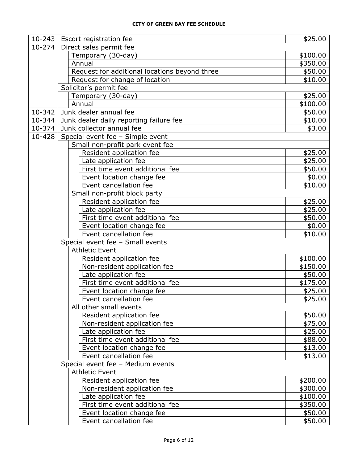| $10 - 243$ | <b>Escort registration fee</b>                | \$25.00  |
|------------|-----------------------------------------------|----------|
| $10 - 274$ | Direct sales permit fee                       |          |
|            | Temporary (30-day)                            | \$100.00 |
|            | Annual                                        | \$350.00 |
|            | Request for additional locations beyond three | \$50.00  |
|            | Request for change of location                | \$10.00  |
|            | Solicitor's permit fee                        |          |
|            | Temporary (30-day)                            | \$25.00  |
|            | Annual                                        | \$100.00 |
| 10-342     | Junk dealer annual fee                        | \$50.00  |
| 10-344     | Junk dealer daily reporting failure fee       | \$10.00  |
| 10-374     | Junk collector annual fee                     | \$3.00   |
| 10-428     | Special event fee - Simple event              |          |
|            | Small non-profit park event fee               |          |
|            | Resident application fee                      | \$25.00  |
|            | Late application fee                          | \$25.00  |
|            | First time event additional fee               | \$50.00  |
|            | Event location change fee                     | \$0.00   |
|            | Event cancellation fee                        | \$10.00  |
|            | Small non-profit block party                  |          |
|            | Resident application fee                      | \$25.00  |
|            | Late application fee                          | \$25.00  |
|            | First time event additional fee               | \$50.00  |
|            | Event location change fee                     | \$0.00   |
|            | Event cancellation fee                        | \$10.00  |
|            | Special event fee - Small events              |          |
|            | <b>Athletic Event</b>                         |          |
|            | Resident application fee                      | \$100.00 |
|            | Non-resident application fee                  | \$150.00 |
|            | Late application fee                          | \$50.00  |
|            | First time event additional fee               | \$175.00 |
|            | Event location change fee                     | \$25.00  |
|            | Event cancellation fee                        | \$25.00  |
|            | All other small events                        |          |
|            | Resident application fee                      | \$50.00  |
|            | Non-resident application fee                  | \$75.00  |
|            | Late application fee                          | \$25.00  |
|            | First time event additional fee               | \$88.00  |
|            | Event location change fee                     | \$13.00  |
|            | Event cancellation fee                        | \$13.00  |
|            | Special event fee - Medium events             |          |
|            | <b>Athletic Event</b>                         |          |
|            | Resident application fee                      | \$200.00 |
|            | Non-resident application fee                  | \$300.00 |
|            | Late application fee                          | \$100.00 |
|            | First time event additional fee               | \$350.00 |
|            | Event location change fee                     | \$50.00  |
|            | Event cancellation fee                        | \$50.00  |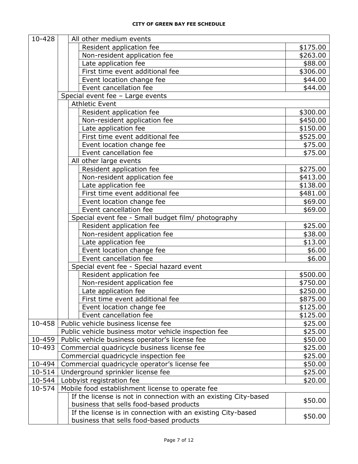| 10-428 | All other medium events                                         |          |
|--------|-----------------------------------------------------------------|----------|
|        | Resident application fee                                        | \$175.00 |
|        | Non-resident application fee                                    | \$263.00 |
|        | Late application fee                                            | \$88.00  |
|        | First time event additional fee                                 | \$306.00 |
|        | Event location change fee                                       | \$44.00  |
|        | Event cancellation fee                                          | \$44.00  |
|        | Special event fee - Large events                                |          |
|        | <b>Athletic Event</b>                                           |          |
|        | Resident application fee                                        | \$300.00 |
|        | Non-resident application fee                                    | \$450.00 |
|        | Late application fee                                            | \$150.00 |
|        | First time event additional fee                                 | \$525.00 |
|        | Event location change fee                                       | \$75.00  |
|        | Event cancellation fee                                          | \$75.00  |
|        | All other large events                                          |          |
|        | Resident application fee                                        | \$275.00 |
|        | Non-resident application fee                                    | \$413.00 |
|        | Late application fee                                            | \$138.00 |
|        | First time event additional fee                                 | \$481.00 |
|        | Event location change fee                                       | \$69.00  |
|        | Event cancellation fee                                          | \$69.00  |
|        | Special event fee - Small budget film/ photography              |          |
|        | Resident application fee                                        | \$25.00  |
|        | Non-resident application fee                                    | \$38.00  |
|        | Late application fee                                            | \$13.00  |
|        | Event location change fee                                       | \$6.00   |
|        | Event cancellation fee                                          | \$6.00   |
|        | Special event fee - Special hazard event                        |          |
|        | Resident application fee                                        | \$500.00 |
|        | Non-resident application fee                                    | \$750.00 |
|        |                                                                 | \$250.00 |
|        | Late application fee<br>First time event additional fee         | \$875.00 |
|        |                                                                 |          |
|        | Event location change fee                                       | \$125.00 |
|        | Event cancellation fee                                          | \$125.00 |
| 10-458 | Public vehicle business license fee                             | \$25.00  |
|        | Public vehicle business motor vehicle inspection fee            | \$25.00  |
| 10-459 | Public vehicle business operator's license fee                  | \$50.00  |
| 10-493 | Commercial quadricycle business license fee                     | \$25.00  |
|        | Commercial quadricycle inspection fee                           | \$25.00  |
| 10-494 | Commercial quadricycle operator's license fee                   | \$50.00  |
| 10-514 | Underground sprinkler license fee                               | \$25.00  |
| 10-544 | Lobbyist registration fee                                       | \$20.00  |
| 10-574 | Mobile food establishment license to operate fee                |          |
|        | If the license is not in connection with an existing City-based | \$50.00  |
|        | business that sells food-based products                         |          |
|        | If the license is in connection with an existing City-based     | \$50.00  |
|        | business that sells food-based products                         |          |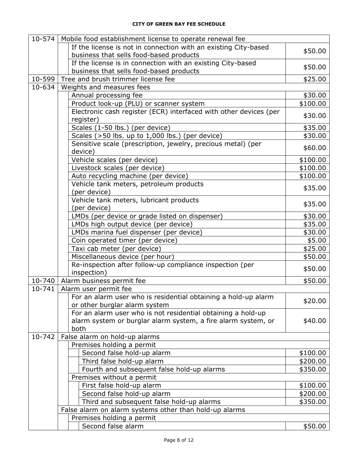|        | 10-574   Mobile food establishment license to operate renewal fee              |          |
|--------|--------------------------------------------------------------------------------|----------|
|        | If the license is not in connection with an existing City-based                | \$50.00  |
|        | business that sells food-based products                                        |          |
|        | If the license is in connection with an existing City-based                    | \$50.00  |
|        | business that sells food-based products                                        |          |
| 10-599 | Tree and brush trimmer license fee                                             | \$25.00  |
| 10-634 | Weights and measures fees                                                      |          |
|        | Annual processing fee                                                          | \$30.00  |
|        | Product look-up (PLU) or scanner system                                        | \$100.00 |
|        | Electronic cash register (ECR) interfaced with other devices (per<br>register) | \$30.00  |
|        | Scales (1-50 lbs.) (per device)                                                | \$35.00  |
|        | Scales ( $>50$ lbs. up to 1,000 lbs.) (per device)                             | \$30.00  |
|        | Sensitive scale (prescription, jewelry, precious metal) (per                   |          |
|        | device)                                                                        | \$60.00  |
|        | Vehicle scales (per device)                                                    | \$100.00 |
|        | Livestock scales (per device)                                                  | \$100.00 |
|        | Auto recycling machine (per device)                                            | \$100.00 |
|        | Vehicle tank meters, petroleum products<br>(per device)                        | \$35.00  |
|        | Vehicle tank meters, lubricant products                                        |          |
|        | (per device)                                                                   | \$35.00  |
|        | LMDs (per device or grade listed on dispenser)                                 | \$30.00  |
|        | LMDs high output device (per device)                                           | \$35.00  |
|        | LMDs marina fuel dispenser (per device)                                        | \$30.00  |
|        | Coin operated timer (per device)                                               | \$5.00   |
|        | Taxi cab meter (per device)                                                    | \$25.00  |
|        | Miscellaneous device (per hour)                                                | \$50.00  |
|        | Re-inspection after follow-up compliance inspection (per                       |          |
|        | inspection)                                                                    | \$50.00  |
| 10-740 | Alarm business permit fee                                                      | \$50.00  |
| 10-741 | Alarm user permit fee                                                          |          |
|        | For an alarm user who is residential obtaining a hold-up alarm                 |          |
|        | or other burglar alarm system                                                  | \$20.00  |
|        | For an alarm user who is not residential obtaining a hold-up                   |          |
|        | alarm system or burglar alarm system, a fire alarm system, or                  | \$40.00  |
|        | both                                                                           |          |
| 10-742 | False alarm on hold-up alarms                                                  |          |
|        | Premises holding a permit                                                      |          |
|        | Second false hold-up alarm                                                     | \$100.00 |
|        | Third false hold-up alarm                                                      | \$200.00 |
|        | Fourth and subsequent false hold-up alarms                                     | \$350.00 |
|        | Premises without a permit                                                      |          |
|        | First false hold-up alarm                                                      | \$100.00 |
|        | Second false hold-up alarm                                                     | \$200.00 |
|        | Third and subsequent false hold-up alarms                                      | \$350.00 |
|        | False alarm on alarm systems other than hold-up alarms                         |          |
|        | Premises holding a permit                                                      |          |
|        | Second false alarm                                                             | \$50.00  |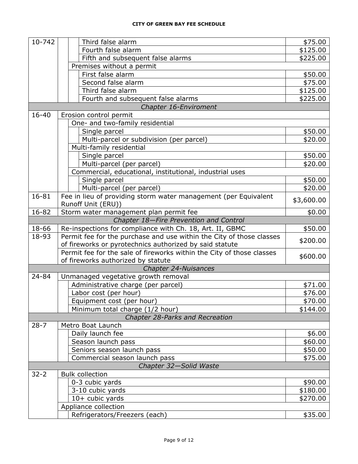| Fourth false alarm<br>\$125.00<br>Fifth and subsequent false alarms<br>\$225.00<br>Premises without a permit<br>First false alarm<br>\$50.00<br>Second false alarm<br>\$75.00<br>Third false alarm<br>\$125.00<br>Fourth and subsequent false alarms<br>\$225.00<br>Chapter 16-Enviroment<br>$16 - 40$<br>Erosion control permit<br>One- and two-family residential<br>Single parcel<br>\$50.00<br>Multi-parcel or subdivision (per parcel)<br>\$20.00<br>Multi-family residential<br>Single parcel<br>\$50.00<br>Multi-parcel (per parcel)<br>\$20.00<br>Commercial, educational, institutional, industrial uses<br>Single parcel<br>\$50.00<br>Multi-parcel (per parcel)<br>\$20.00<br>16-81<br>Fee in lieu of providing storm water management (per Equivalent<br>\$3,600.00<br>Runoff Unit (ERU))<br>16-82<br>Storm water management plan permit fee<br>\$0.00<br>Chapter 18-Fire Prevention and Control<br>18-66<br>Re-inspections for compliance with Ch. 18, Art. II, GBMC<br>\$50.00<br>Permit fee for the purchase and use within the City of those classes<br>18-93<br>\$200.00<br>of fireworks or pyrotechnics authorized by said statute<br>Permit fee for the sale of fireworks within the City of those classes<br>\$600.00<br>of fireworks authorized by statute<br>Chapter 24-Nuisances<br>24-84<br>Unmanaged vegetative growth removal<br>Administrative charge (per parcel)<br>\$71.00<br>Labor cost (per hour)<br>\$76.00<br>Equipment cost (per hour)<br>\$70.00<br>Minimum total charge (1/2 hour)<br>\$144.00<br>Chapter 28-Parks and Recreation<br>$28 - 7$<br>Metro Boat Launch<br>Daily launch fee<br>\$6.00<br>Season launch pass<br>\$60.00<br>Seniors season launch pass<br>\$50.00<br>Commercial season launch pass<br>\$75.00<br>Chapter 32-Solid Waste<br>$32 - 2$<br><b>Bulk collection</b><br>0-3 cubic yards<br>\$90.00<br>3-10 cubic yards<br>\$180.00<br>10+ cubic yards<br>\$270.00<br>Appliance collection<br>Refrigerators/Freezers (each)<br>\$35.00 | 10-742 | Third false alarm | \$75.00 |
|----------------------------------------------------------------------------------------------------------------------------------------------------------------------------------------------------------------------------------------------------------------------------------------------------------------------------------------------------------------------------------------------------------------------------------------------------------------------------------------------------------------------------------------------------------------------------------------------------------------------------------------------------------------------------------------------------------------------------------------------------------------------------------------------------------------------------------------------------------------------------------------------------------------------------------------------------------------------------------------------------------------------------------------------------------------------------------------------------------------------------------------------------------------------------------------------------------------------------------------------------------------------------------------------------------------------------------------------------------------------------------------------------------------------------------------------------------------------------------------------------------------------------------------------------------------------------------------------------------------------------------------------------------------------------------------------------------------------------------------------------------------------------------------------------------------------------------------------------------------------------------------------------------------------------------------------------------------------------------------------|--------|-------------------|---------|
|                                                                                                                                                                                                                                                                                                                                                                                                                                                                                                                                                                                                                                                                                                                                                                                                                                                                                                                                                                                                                                                                                                                                                                                                                                                                                                                                                                                                                                                                                                                                                                                                                                                                                                                                                                                                                                                                                                                                                                                              |        |                   |         |
|                                                                                                                                                                                                                                                                                                                                                                                                                                                                                                                                                                                                                                                                                                                                                                                                                                                                                                                                                                                                                                                                                                                                                                                                                                                                                                                                                                                                                                                                                                                                                                                                                                                                                                                                                                                                                                                                                                                                                                                              |        |                   |         |
|                                                                                                                                                                                                                                                                                                                                                                                                                                                                                                                                                                                                                                                                                                                                                                                                                                                                                                                                                                                                                                                                                                                                                                                                                                                                                                                                                                                                                                                                                                                                                                                                                                                                                                                                                                                                                                                                                                                                                                                              |        |                   |         |
|                                                                                                                                                                                                                                                                                                                                                                                                                                                                                                                                                                                                                                                                                                                                                                                                                                                                                                                                                                                                                                                                                                                                                                                                                                                                                                                                                                                                                                                                                                                                                                                                                                                                                                                                                                                                                                                                                                                                                                                              |        |                   |         |
|                                                                                                                                                                                                                                                                                                                                                                                                                                                                                                                                                                                                                                                                                                                                                                                                                                                                                                                                                                                                                                                                                                                                                                                                                                                                                                                                                                                                                                                                                                                                                                                                                                                                                                                                                                                                                                                                                                                                                                                              |        |                   |         |
|                                                                                                                                                                                                                                                                                                                                                                                                                                                                                                                                                                                                                                                                                                                                                                                                                                                                                                                                                                                                                                                                                                                                                                                                                                                                                                                                                                                                                                                                                                                                                                                                                                                                                                                                                                                                                                                                                                                                                                                              |        |                   |         |
|                                                                                                                                                                                                                                                                                                                                                                                                                                                                                                                                                                                                                                                                                                                                                                                                                                                                                                                                                                                                                                                                                                                                                                                                                                                                                                                                                                                                                                                                                                                                                                                                                                                                                                                                                                                                                                                                                                                                                                                              |        |                   |         |
|                                                                                                                                                                                                                                                                                                                                                                                                                                                                                                                                                                                                                                                                                                                                                                                                                                                                                                                                                                                                                                                                                                                                                                                                                                                                                                                                                                                                                                                                                                                                                                                                                                                                                                                                                                                                                                                                                                                                                                                              |        |                   |         |
|                                                                                                                                                                                                                                                                                                                                                                                                                                                                                                                                                                                                                                                                                                                                                                                                                                                                                                                                                                                                                                                                                                                                                                                                                                                                                                                                                                                                                                                                                                                                                                                                                                                                                                                                                                                                                                                                                                                                                                                              |        |                   |         |
|                                                                                                                                                                                                                                                                                                                                                                                                                                                                                                                                                                                                                                                                                                                                                                                                                                                                                                                                                                                                                                                                                                                                                                                                                                                                                                                                                                                                                                                                                                                                                                                                                                                                                                                                                                                                                                                                                                                                                                                              |        |                   |         |
|                                                                                                                                                                                                                                                                                                                                                                                                                                                                                                                                                                                                                                                                                                                                                                                                                                                                                                                                                                                                                                                                                                                                                                                                                                                                                                                                                                                                                                                                                                                                                                                                                                                                                                                                                                                                                                                                                                                                                                                              |        |                   |         |
|                                                                                                                                                                                                                                                                                                                                                                                                                                                                                                                                                                                                                                                                                                                                                                                                                                                                                                                                                                                                                                                                                                                                                                                                                                                                                                                                                                                                                                                                                                                                                                                                                                                                                                                                                                                                                                                                                                                                                                                              |        |                   |         |
|                                                                                                                                                                                                                                                                                                                                                                                                                                                                                                                                                                                                                                                                                                                                                                                                                                                                                                                                                                                                                                                                                                                                                                                                                                                                                                                                                                                                                                                                                                                                                                                                                                                                                                                                                                                                                                                                                                                                                                                              |        |                   |         |
|                                                                                                                                                                                                                                                                                                                                                                                                                                                                                                                                                                                                                                                                                                                                                                                                                                                                                                                                                                                                                                                                                                                                                                                                                                                                                                                                                                                                                                                                                                                                                                                                                                                                                                                                                                                                                                                                                                                                                                                              |        |                   |         |
|                                                                                                                                                                                                                                                                                                                                                                                                                                                                                                                                                                                                                                                                                                                                                                                                                                                                                                                                                                                                                                                                                                                                                                                                                                                                                                                                                                                                                                                                                                                                                                                                                                                                                                                                                                                                                                                                                                                                                                                              |        |                   |         |
|                                                                                                                                                                                                                                                                                                                                                                                                                                                                                                                                                                                                                                                                                                                                                                                                                                                                                                                                                                                                                                                                                                                                                                                                                                                                                                                                                                                                                                                                                                                                                                                                                                                                                                                                                                                                                                                                                                                                                                                              |        |                   |         |
|                                                                                                                                                                                                                                                                                                                                                                                                                                                                                                                                                                                                                                                                                                                                                                                                                                                                                                                                                                                                                                                                                                                                                                                                                                                                                                                                                                                                                                                                                                                                                                                                                                                                                                                                                                                                                                                                                                                                                                                              |        |                   |         |
|                                                                                                                                                                                                                                                                                                                                                                                                                                                                                                                                                                                                                                                                                                                                                                                                                                                                                                                                                                                                                                                                                                                                                                                                                                                                                                                                                                                                                                                                                                                                                                                                                                                                                                                                                                                                                                                                                                                                                                                              |        |                   |         |
|                                                                                                                                                                                                                                                                                                                                                                                                                                                                                                                                                                                                                                                                                                                                                                                                                                                                                                                                                                                                                                                                                                                                                                                                                                                                                                                                                                                                                                                                                                                                                                                                                                                                                                                                                                                                                                                                                                                                                                                              |        |                   |         |
|                                                                                                                                                                                                                                                                                                                                                                                                                                                                                                                                                                                                                                                                                                                                                                                                                                                                                                                                                                                                                                                                                                                                                                                                                                                                                                                                                                                                                                                                                                                                                                                                                                                                                                                                                                                                                                                                                                                                                                                              |        |                   |         |
|                                                                                                                                                                                                                                                                                                                                                                                                                                                                                                                                                                                                                                                                                                                                                                                                                                                                                                                                                                                                                                                                                                                                                                                                                                                                                                                                                                                                                                                                                                                                                                                                                                                                                                                                                                                                                                                                                                                                                                                              |        |                   |         |
|                                                                                                                                                                                                                                                                                                                                                                                                                                                                                                                                                                                                                                                                                                                                                                                                                                                                                                                                                                                                                                                                                                                                                                                                                                                                                                                                                                                                                                                                                                                                                                                                                                                                                                                                                                                                                                                                                                                                                                                              |        |                   |         |
|                                                                                                                                                                                                                                                                                                                                                                                                                                                                                                                                                                                                                                                                                                                                                                                                                                                                                                                                                                                                                                                                                                                                                                                                                                                                                                                                                                                                                                                                                                                                                                                                                                                                                                                                                                                                                                                                                                                                                                                              |        |                   |         |
|                                                                                                                                                                                                                                                                                                                                                                                                                                                                                                                                                                                                                                                                                                                                                                                                                                                                                                                                                                                                                                                                                                                                                                                                                                                                                                                                                                                                                                                                                                                                                                                                                                                                                                                                                                                                                                                                                                                                                                                              |        |                   |         |
|                                                                                                                                                                                                                                                                                                                                                                                                                                                                                                                                                                                                                                                                                                                                                                                                                                                                                                                                                                                                                                                                                                                                                                                                                                                                                                                                                                                                                                                                                                                                                                                                                                                                                                                                                                                                                                                                                                                                                                                              |        |                   |         |
|                                                                                                                                                                                                                                                                                                                                                                                                                                                                                                                                                                                                                                                                                                                                                                                                                                                                                                                                                                                                                                                                                                                                                                                                                                                                                                                                                                                                                                                                                                                                                                                                                                                                                                                                                                                                                                                                                                                                                                                              |        |                   |         |
|                                                                                                                                                                                                                                                                                                                                                                                                                                                                                                                                                                                                                                                                                                                                                                                                                                                                                                                                                                                                                                                                                                                                                                                                                                                                                                                                                                                                                                                                                                                                                                                                                                                                                                                                                                                                                                                                                                                                                                                              |        |                   |         |
|                                                                                                                                                                                                                                                                                                                                                                                                                                                                                                                                                                                                                                                                                                                                                                                                                                                                                                                                                                                                                                                                                                                                                                                                                                                                                                                                                                                                                                                                                                                                                                                                                                                                                                                                                                                                                                                                                                                                                                                              |        |                   |         |
|                                                                                                                                                                                                                                                                                                                                                                                                                                                                                                                                                                                                                                                                                                                                                                                                                                                                                                                                                                                                                                                                                                                                                                                                                                                                                                                                                                                                                                                                                                                                                                                                                                                                                                                                                                                                                                                                                                                                                                                              |        |                   |         |
|                                                                                                                                                                                                                                                                                                                                                                                                                                                                                                                                                                                                                                                                                                                                                                                                                                                                                                                                                                                                                                                                                                                                                                                                                                                                                                                                                                                                                                                                                                                                                                                                                                                                                                                                                                                                                                                                                                                                                                                              |        |                   |         |
|                                                                                                                                                                                                                                                                                                                                                                                                                                                                                                                                                                                                                                                                                                                                                                                                                                                                                                                                                                                                                                                                                                                                                                                                                                                                                                                                                                                                                                                                                                                                                                                                                                                                                                                                                                                                                                                                                                                                                                                              |        |                   |         |
|                                                                                                                                                                                                                                                                                                                                                                                                                                                                                                                                                                                                                                                                                                                                                                                                                                                                                                                                                                                                                                                                                                                                                                                                                                                                                                                                                                                                                                                                                                                                                                                                                                                                                                                                                                                                                                                                                                                                                                                              |        |                   |         |
|                                                                                                                                                                                                                                                                                                                                                                                                                                                                                                                                                                                                                                                                                                                                                                                                                                                                                                                                                                                                                                                                                                                                                                                                                                                                                                                                                                                                                                                                                                                                                                                                                                                                                                                                                                                                                                                                                                                                                                                              |        |                   |         |
|                                                                                                                                                                                                                                                                                                                                                                                                                                                                                                                                                                                                                                                                                                                                                                                                                                                                                                                                                                                                                                                                                                                                                                                                                                                                                                                                                                                                                                                                                                                                                                                                                                                                                                                                                                                                                                                                                                                                                                                              |        |                   |         |
|                                                                                                                                                                                                                                                                                                                                                                                                                                                                                                                                                                                                                                                                                                                                                                                                                                                                                                                                                                                                                                                                                                                                                                                                                                                                                                                                                                                                                                                                                                                                                                                                                                                                                                                                                                                                                                                                                                                                                                                              |        |                   |         |
|                                                                                                                                                                                                                                                                                                                                                                                                                                                                                                                                                                                                                                                                                                                                                                                                                                                                                                                                                                                                                                                                                                                                                                                                                                                                                                                                                                                                                                                                                                                                                                                                                                                                                                                                                                                                                                                                                                                                                                                              |        |                   |         |
|                                                                                                                                                                                                                                                                                                                                                                                                                                                                                                                                                                                                                                                                                                                                                                                                                                                                                                                                                                                                                                                                                                                                                                                                                                                                                                                                                                                                                                                                                                                                                                                                                                                                                                                                                                                                                                                                                                                                                                                              |        |                   |         |
|                                                                                                                                                                                                                                                                                                                                                                                                                                                                                                                                                                                                                                                                                                                                                                                                                                                                                                                                                                                                                                                                                                                                                                                                                                                                                                                                                                                                                                                                                                                                                                                                                                                                                                                                                                                                                                                                                                                                                                                              |        |                   |         |
|                                                                                                                                                                                                                                                                                                                                                                                                                                                                                                                                                                                                                                                                                                                                                                                                                                                                                                                                                                                                                                                                                                                                                                                                                                                                                                                                                                                                                                                                                                                                                                                                                                                                                                                                                                                                                                                                                                                                                                                              |        |                   |         |
|                                                                                                                                                                                                                                                                                                                                                                                                                                                                                                                                                                                                                                                                                                                                                                                                                                                                                                                                                                                                                                                                                                                                                                                                                                                                                                                                                                                                                                                                                                                                                                                                                                                                                                                                                                                                                                                                                                                                                                                              |        |                   |         |
|                                                                                                                                                                                                                                                                                                                                                                                                                                                                                                                                                                                                                                                                                                                                                                                                                                                                                                                                                                                                                                                                                                                                                                                                                                                                                                                                                                                                                                                                                                                                                                                                                                                                                                                                                                                                                                                                                                                                                                                              |        |                   |         |
|                                                                                                                                                                                                                                                                                                                                                                                                                                                                                                                                                                                                                                                                                                                                                                                                                                                                                                                                                                                                                                                                                                                                                                                                                                                                                                                                                                                                                                                                                                                                                                                                                                                                                                                                                                                                                                                                                                                                                                                              |        |                   |         |
|                                                                                                                                                                                                                                                                                                                                                                                                                                                                                                                                                                                                                                                                                                                                                                                                                                                                                                                                                                                                                                                                                                                                                                                                                                                                                                                                                                                                                                                                                                                                                                                                                                                                                                                                                                                                                                                                                                                                                                                              |        |                   |         |
|                                                                                                                                                                                                                                                                                                                                                                                                                                                                                                                                                                                                                                                                                                                                                                                                                                                                                                                                                                                                                                                                                                                                                                                                                                                                                                                                                                                                                                                                                                                                                                                                                                                                                                                                                                                                                                                                                                                                                                                              |        |                   |         |
|                                                                                                                                                                                                                                                                                                                                                                                                                                                                                                                                                                                                                                                                                                                                                                                                                                                                                                                                                                                                                                                                                                                                                                                                                                                                                                                                                                                                                                                                                                                                                                                                                                                                                                                                                                                                                                                                                                                                                                                              |        |                   |         |
|                                                                                                                                                                                                                                                                                                                                                                                                                                                                                                                                                                                                                                                                                                                                                                                                                                                                                                                                                                                                                                                                                                                                                                                                                                                                                                                                                                                                                                                                                                                                                                                                                                                                                                                                                                                                                                                                                                                                                                                              |        |                   |         |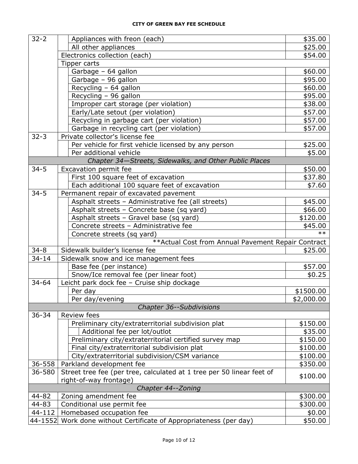| $32 - 2$           | Appliances with freon (each)                                                                    | \$35.00    |  |
|--------------------|-------------------------------------------------------------------------------------------------|------------|--|
|                    | All other appliances                                                                            | \$25.00    |  |
|                    | Electronics collection (each)                                                                   | \$54.00    |  |
|                    | Tipper carts                                                                                    |            |  |
|                    | Garbage - 64 gallon                                                                             | \$60.00    |  |
|                    | Garbage - 96 gallon                                                                             | \$95.00    |  |
|                    | Recycling $-64$ gallon                                                                          | \$60.00    |  |
|                    | Recycling - 96 gallon                                                                           | \$95.00    |  |
|                    | Improper cart storage (per violation)                                                           | \$38.00    |  |
|                    | Early/Late setout (per violation)                                                               | \$57.00    |  |
|                    | Recycling in garbage cart (per violation)                                                       | \$57.00    |  |
|                    | Garbage in recycling cart (per violation)                                                       | \$57.00    |  |
| $32 - 3$           | Private collector's license fee                                                                 |            |  |
|                    | Per vehicle for first vehicle licensed by any person                                            | \$25.00    |  |
|                    | Per additional vehicle                                                                          | \$5.00     |  |
|                    | Chapter 34-Streets, Sidewalks, and Other Public Places                                          |            |  |
| $34 - 5$           | Excavation permit fee                                                                           | \$50.00    |  |
|                    | First 100 square feet of excavation                                                             | \$37.80    |  |
|                    | Each additional 100 square feet of excavation                                                   | \$7.60     |  |
| $34 - 5$           | Permanent repair of excavated pavement                                                          |            |  |
|                    | Asphalt streets - Administrative fee (all streets)                                              | \$45.00    |  |
|                    | Asphalt streets - Concrete base (sq yard)                                                       | \$66.00    |  |
|                    | Asphalt streets - Gravel base (sq yard)                                                         | \$120.00   |  |
|                    | Concrete streets - Administrative fee                                                           | \$45.00    |  |
|                    | Concrete streets (sq yard)                                                                      | $**$       |  |
|                    | ** Actual Cost from Annual Pavement Repair Contract                                             |            |  |
| $34 - 8$           | Sidewalk builder's license fee                                                                  | \$25.00    |  |
| $34 - 14$          | Sidewalk snow and ice management fees                                                           |            |  |
|                    | Base fee (per instance)                                                                         | \$57.00    |  |
|                    | Snow/Ice removal fee (per linear foot)                                                          | \$0.25     |  |
| $34 - 64$          | Leicht park dock fee - Cruise ship dockage                                                      |            |  |
|                    | Per day                                                                                         | \$1500.00  |  |
|                    | Per day/evening                                                                                 | \$2,000.00 |  |
|                    | <b>Chapter 36--Subdivisions</b>                                                                 |            |  |
| $36 - 34$          | Review fees                                                                                     |            |  |
|                    | Preliminary city/extraterritorial subdivision plat                                              | \$150.00   |  |
|                    | Additional fee per lot/outlot                                                                   | \$35.00    |  |
|                    | Preliminary city/extraterritorial certified survey map                                          | \$150.00   |  |
|                    | Final city/extraterritorial subdivision plat                                                    | \$100.00   |  |
|                    | City/extraterritorial subdivision/CSM variance                                                  | \$100.00   |  |
| 36-558             | Parkland development fee                                                                        | \$350.00   |  |
| 36-580             | Street tree fee (per tree, calculated at 1 tree per 50 linear feet of<br>right-of-way frontage) | \$100.00   |  |
| Chapter 44--Zoning |                                                                                                 |            |  |
| 44-82              | Zoning amendment fee                                                                            | \$300.00   |  |
| 44-83              | Conditional use permit fee                                                                      | \$300.00   |  |
| 44-112             | Homebased occupation fee                                                                        | \$0.00     |  |
|                    | 44-1552 Work done without Certificate of Appropriateness (per day)                              | \$50.00    |  |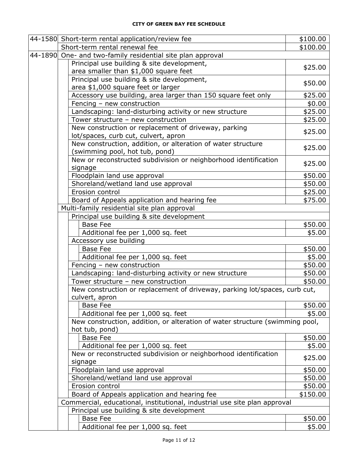| 44-1580 Short-term rental application/review fee                             | \$100.00           |
|------------------------------------------------------------------------------|--------------------|
| Short-term rental renewal fee                                                | \$100.00           |
| 44-1890 One- and two-family residential site plan approval                   |                    |
| Principal use building & site development,                                   | \$25.00            |
| area smaller than \$1,000 square feet                                        |                    |
| Principal use building & site development,                                   | \$50.00            |
| area \$1,000 square feet or larger                                           |                    |
| Accessory use building, area larger than 150 square feet only                | \$25.00            |
| Fencing - new construction                                                   | \$0.00             |
| Landscaping: land-disturbing activity or new structure                       | \$25.00            |
| Tower structure - new construction                                           | \$25.00            |
| New construction or replacement of driveway, parking                         | \$25.00            |
| lot/spaces, curb cut, culvert, apron                                         |                    |
| New construction, addition, or alteration of water structure                 | \$25.00            |
| (swimming pool, hot tub, pond)                                               |                    |
| New or reconstructed subdivision or neighborhood identification              | \$25.00            |
| signage                                                                      |                    |
| Floodplain land use approval                                                 | \$50.00<br>\$50.00 |
| Shoreland/wetland land use approval<br>Erosion control                       | \$25.00            |
| Board of Appeals application and hearing fee                                 | \$75.00            |
| Multi-family residential site plan approval                                  |                    |
| Principal use building & site development                                    |                    |
| <b>Base Fee</b>                                                              | \$50.00            |
| Additional fee per 1,000 sq. feet                                            | \$5.00             |
| Accessory use building                                                       |                    |
| <b>Base Fee</b>                                                              | \$50.00            |
| Additional fee per 1,000 sq. feet                                            | \$5.00             |
| Fencing - new construction                                                   | \$50.00            |
| Landscaping: land-disturbing activity or new structure                       | \$50.00            |
| Tower structure - new construction                                           | \$50.00            |
| New construction or replacement of driveway, parking lot/spaces, curb cut,   |                    |
| culvert, apron                                                               |                    |
| <b>Base Fee</b>                                                              | \$50.00            |
| Additional fee per 1,000 sq. feet                                            | \$5.00             |
| New construction, addition, or alteration of water structure (swimming pool, |                    |
| hot tub, pond)                                                               |                    |
| <b>Base Fee</b>                                                              | \$50.00            |
| Additional fee per 1,000 sq. feet                                            | \$5.00             |
| New or reconstructed subdivision or neighborhood identification              |                    |
| signage                                                                      | \$25.00            |
| Floodplain land use approval                                                 | \$50.00            |
| Shoreland/wetland land use approval                                          | \$50.00            |
| Erosion control                                                              | \$50.00            |
| Board of Appeals application and hearing fee                                 | \$150.00           |
| Commercial, educational, institutional, industrial use site plan approval    |                    |
| Principal use building & site development                                    |                    |
| <b>Base Fee</b>                                                              | \$50.00            |
| Additional fee per 1,000 sq. feet                                            | \$5.00             |